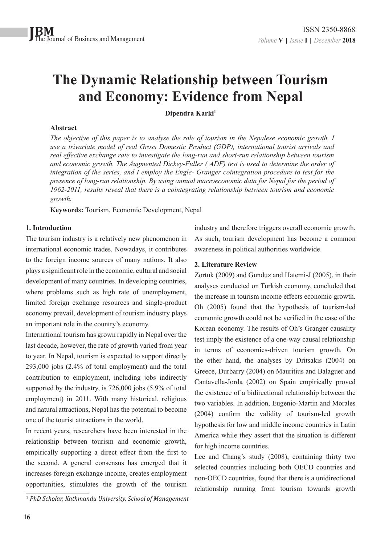# **The Dynamic Relationship between Tourism and Economy: Evidence from Nepal**

**Dipendra Karki1**

## **Abstract**

*The objective of this paper is to analyse the role of tourism in the Nepalese economic growth. I use a trivariate model of real Gross Domestic Product (GDP), international tourist arrivals and real effective exchange rate to investigate the long-run and short-run relationship between tourism and economic growth. The Augmented Dickey-Fuller ( ADF) test is used to determine the order of integration of the series, and I employ the Engle- Granger cointegration procedure to test for the presence of long-run relationship. By using annual macroeconomic data for Nepal for the period of 1962-2011, results reveal that there is a cointegrating relationship between tourism and economic growth.*

**Keywords:** Tourism, Economic Development, Nepal

# **1. Introduction**

The tourism industry is a relatively new phenomenon in international economic trades. Nowadays, it contributes to the foreign income sources of many nations. It also plays a significant role in the economic, cultural and social development of many countries. In developing countries, where problems such as high rate of unemployment, limited foreign exchange resources and single-product economy prevail, development of tourism industry plays an important role in the country's economy.

International tourism has grown rapidly in Nepal over the last decade, however, the rate of growth varied from year to year. In Nepal, tourism is expected to support directly 293,000 jobs (2.4% of total employment) and the total contribution to employment, including jobs indirectly supported by the industry, is 726,000 jobs (5.9% of total employment) in 2011. With many historical, religious and natural attractions, Nepal has the potential to become one of the tourist attractions in the world.

In recent years, researchers have been interested in the relationship between tourism and economic growth, empirically supporting a direct effect from the first to the second. A general consensus has emerged that it increases foreign exchange income, creates employment opportunities, stimulates the growth of the tourism

industry and therefore triggers overall economic growth. As such, tourism development has become a common awareness in political authorities worldwide.

# **2. Literature Review**

Zortuk (2009) and Gunduz and Hatemi-J (2005), in their analyses conducted on Turkish economy, concluded that the increase in tourism income effects economic growth. Oh (2005) found that the hypothesis of tourism-led economic growth could not be verified in the case of the Korean economy. The results of Oh's Granger causality test imply the existence of a one-way causal relationship in terms of economics-driven tourism growth. On the other hand, the analyses by Dritsakis (2004) on Greece, Durbarry (2004) on Mauritius and Balaguer and Cantavella-Jorda (2002) on Spain empirically proved the existence of a bidirectional relationship between the two variables. In addition, Eugenio-Martin and Morales (2004) confirm the validity of tourism-led growth hypothesis for low and middle income countries in Latin America while they assert that the situation is different for high income countries.

Lee and Chang's study (2008), containing thirty two selected countries including both OECD countries and non-OECD countries, found that there is a unidirectional relationship running from tourism towards growth

<sup>1</sup>  *PhD Scholar, Kathmandu University, School of Management*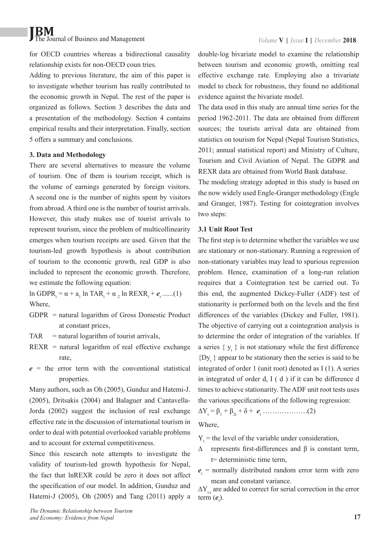# **JBM** The Journal of Business and Management *Volume* **V** | *Issue* **I** | *December* **2018**

for OECD countries whereas a bidirectional causality relationship exists for non-OECD coun tries.

Adding to previous literature, the aim of this paper is to investigate whether tourism has really contributed to the economic growth in Nepal. The rest of the paper is organized as follows. Section 3 describes the data and a presentation of the methodology. Section 4 contains empirical results and their interpretation. Finally, section 5 offers a summary and conclusions.

### **3. Data and Methodology**

There are several alternatives to measure the volume of tourism. One of them is tourism receipt, which is the volume of earnings generated by foreign visitors. A second one is the number of nights spent by visitors from abroad. A third one is the number of tourist arrivals. However, this study makes use of tourist arrivals to represent tourism, since the problem of multicollinearity emerges when tourism receipts are used. Given that the tourism-led growth hypothesis is about contribution of tourism to the economic growth, real GDP is also included to represent the economic growth. Therefore, we estimate the following equation:

ln GDPR<sub>t</sub> = α + a<sub>1</sub> ln TAR<sub>t</sub> + α<sub>2</sub> ln REXR<sub>t</sub> +  $e$ <sub>t</sub> ......(1) Where,

- GDPR = natural logarithm of Gross Domestic Product at constant prices,
- $TAR$  = natural logarithm of tourist arrivals,
- $REXR = natural logarithm of real effective exchange$ rate,
- $e$  = the error term with the conventional statistical properties.

Many authors, such as Oh (2005), Gunduz and Hatemi-J. (2005), Dritsakis (2004) and Balaguer and Cantavella-Jorda (2002) suggest the inclusion of real exchange effective rate in the discussion of international tourism in order to deal with potential overlooked variable problems and to account for external competitiveness.

Since this research note attempts to investigate the validity of tourism-led growth hypothesis for Nepal, the fact that lnREXR could be zero it does not affect the specification of our model. In addition, Gunduz and Hatemi-J (2005), Oh (2005) and Tang (2011) apply a

double-log bivariate model to examine the relationship between tourism and economic growth, omitting real effective exchange rate. Employing also a trivariate model to check for robustness, they found no additional evidence against the bivariate model.

The data used in this study are annual time series for the period 1962-2011. The data are obtained from different sources; the tourists arrival data are obtained from statistics on tourism for Nepal (Nepal Tourism Statistics, 2011; annual statistical report) and Ministry of Culture, Tourism and Civil Aviation of Nepal. The GDPR and REXR data are obtained from World Bank database.

The modeling strategy adopted in this study is based on the now widely used Engle-Granger methodology (Engle and Granger, 1987). Testing for cointegration involves two steps:

# **3.1 Unit Root Test**

The first step is to determine whether the variables we use are stationary or non-stationary. Running a regression of non-stationary variables may lead to spurious regression problem. Hence, examination of a long-run relation requires that a Cointegration test be carried out. To this end, the augmented Dickey-Fuller (ADF) test of stationarity is performed both on the levels and the first differences of the variables (Dickey and Fuller, 1981). The objective of carrying out a cointegration analysis is to determine the order of integration of the variables. If a series  $\{y_t\}$  is not stationary while the first difference  ${Dy_t}$  appear to be stationary then the series is said to be integrated of order 1 (unit root) denoted as I (1). A series in integrated of order d, I ( d ) if it can be difference d times to achieve stationarity. The ADF unit root tests uses the various specifications of the following regression:

 $\Delta Y_{t} = \beta_{1} + \beta_{2t} + \delta + e_{t}$  ……………….(2)

Where,

 $Y_t$  = the level of the variable under consideration,

- $Δ$  represents first-differences and  $β$  is constant term, t= deterministic time term,
- $e<sub>t</sub>$  = normally distributed random error term with zero mean and constant variance.

 $\Delta Y_{t-1}$  are added to correct for serial correction in the error term  $(e_t)$ .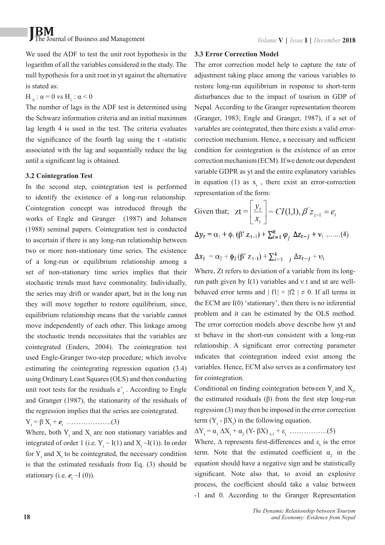# **JBM** The Journal of Business and Management *Volume* **V** | *Issue* **I** | *December* **2018**

We used the ADF to test the unit root hypothesis in the logarithm of all the variables considered in the study. The null hypothesis for a unit root in yt against the alternative is stated as:

 $H_0$ : α = 0 vs H<sub>1</sub>: α < 0

The number of lags in the ADF test is determined using the Schwarz information criteria and an initial maximum lag length 4 is used in the test. The criteria evaluates the significance of the fourth lag using the t -statistic associated with the lag and sequentially reduce the lag until a significant lag is obtained.

# **3.2 Cointegration Test**

In the second step, cointegration test is performed to identify the existence of a long-run relationship. Cointegration concept was introduced through the works of Engle and Granger (1987) and Johansen (1988) seminal papers. Cointegration test is conducted to ascertain if there is any long-run relationship between two or more non-stationary time series. The existence of a long-run or equilibrium relationship among a set of non-stationary time series implies that their stochastic trends must have commonality. Individually, the series may drift or wander apart, but in the long run they will move together to restore equilibrium, since, equilibrium relationship means that the variable cannot move independently of each other. This linkage among the stochastic trends necessitates that the variables are cointegrated (Enders, 2004). The cointegration test used Engle-Granger two-step procedure; which involve estimating the cointegrating regression equation (3.4) using Ordinary Least Squares (OLS) and then conducting unit root tests for the residuals  $e_t^*$ . According to Engle and Granger (1987), the stationarity of the residuals of the regression implies that the series are cointegrated.

# $Y_t = \beta X_t + e_t$  ………………...(3)

Where, both  $Y_t$  and  $X_t$  are non stationary variables and integrated of order 1 (i.e.  $Y_t \sim I(1)$  and  $X_t \sim I(1)$ ). In order for  $Y_t$  and  $X_t$  to be cointegrated, the necessary condition is that the estimated residuals from Eq. (3) should be stationary (i.e.  $e_t \sim I(0)$ ).

### **3.3 Error Correction Model**

The error correction model help to capture the rate of adjustment taking place among the various variables to restore long-run equilibrium in response to short-term disturbances due to the impact of tourism in GDP of Nepal. According to the Granger representation theorem (Granger, 1983; Engle and Granger, 1987), if a set of variables are cointegrated, then there exists a valid errorcorrection mechanism. Hence, a necessary and sufficient condition for cointegration is the existence of an error correction mechanism (ECM). If we denote our dependent variable GDPR as yt and the entire explanatory variables in equation (1) as  $x_t$ , there exist an error-correction representation of the form:

Given that; 
$$
zt = \left[ \frac{y_t}{x_t} \right] \sim CI(1,1), \beta' z_{z=1} = e_t
$$
  
\n
$$
\Delta y_t = \alpha_1 + \phi_1 (\beta' z_{t-1}) + \sum_{i=1}^k \varphi_i \Delta z_{t-j} + v_t \dots (4)
$$

$$
\Delta x_t = \alpha_2 + \phi_2 (\beta' z_{t-1}) + \sum_{i=1}^k \beta z_{t-j} + \upsilon_t
$$

Where, Zt refers to deviation of a variable from its longrun path given by I(1) variables and ν t and ut are wellbehaved error terms and  $|f1| + |f2| \neq 0$ . If all terms in the ECM are Ι(0) 'stationary', then there is no inferential problem and it can be estimated by the OLS method. The error correction models above describe how yt and xt behave in the short-run consistent with a long-run relationship. A significant error correcting parameter indicates that cointegration indeed exist among the variables. Hence, ECM also serves as a confirmatory test for cointegration.

Conditional on finding cointegration between  $Y_t$  and  $X_t$ , the estimated residuals (β) from the first step long-run regression (3) may then be imposed in the error correction term  $(Y_t - \beta X_t)$  in the following equation.

∆Y<sup>t</sup> = α<sup>1</sup> ∆X<sup>t</sup> + α<sup>2</sup> (Y- βX) t-1 + ε<sup>t</sup> …………….(5)

Where,  $\Delta$  represents first-differences and  $\varepsilon_t$  is the error term. Note that the estimated coefficient  $\alpha_2$  in the equation should have a negative sign and be statistically significant. Note also that, to avoid an explosive process, the coefficient should take a value between -1 and 0. According to the Granger Representation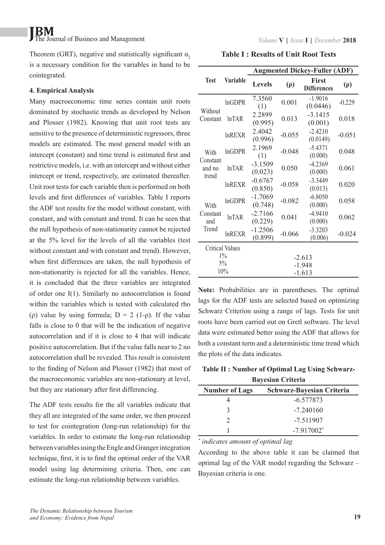# **JBM** The Journal of Business and Management *Volume* **V** | *Issue* **I** | *December* **2018**

Theorem (GRT), negative and statistically significant  $\alpha$ , is a necessary condition for the variables in hand to be cointegrated.

# **4. Empirical Analysis**

Many macroeconomic time series contain unit roots dominated by stochastic trends as developed by Nelson and Plosser (1982). Knowing that unit root tests are sensitive to the presence of deterministic regressors, three models are estimated. The most general model with an intercept (constant) and time trend is estimated first and restrictive models, i.e. with an intercept and without either intercept or trend, respectively, are estimated thereafter. Unit root tests for each variable then is performed on both levels and first differences of variables. Table I reports the ADF test results for the model without constant, with constant, and with constant and trend. It can be seen that the null hypothesis of non-stationarity cannot be rejected at the 5% level for the levels of all the variables (test without constant and with constant and trend). However, when first differences are taken, the null hypothesis of non-stationarity is rejected for all the variables. Hence, it is concluded that the three variables are integrated of order one I(1). Similarly no autocorrelation is found within the variables which is tested with calculated rho (ρ) value by using formula;  $D = 2$  (1-ρ). If the value falls is close to 0 that will be the indication of negative autocorrelation and if it is close to 4 that will indicate positive autocorrelation. But if the value falls near to 2 no autocorrelation shall be revealed. This result is consistent to the finding of Nelson and Plosser (1982) that most of the macroeconomic variables are non-stationary at level, but they are stationary after first differencing.

The ADF tests results for the all variables indicate that they all are integrated of the same order, we then proceed to test for cointegration (long-run relationship) for the variables. In order to estimate the long-run relationship between variables using the Engle and Granger integration technique, first, it is to find the optimal order of the VAR model using lag determining criteria. Then, one can estimate the long-run relationship between variables.

**Table I : Results of Unit Root Tests**

|                                     |                    | <b>Augmented Dickey-Fuller (ADF)</b> |          |                                    |          |
|-------------------------------------|--------------------|--------------------------------------|----------|------------------------------------|----------|
| <b>Test</b>                         | <b>Variable</b>    | <b>Levels</b>                        | $(\rho)$ | <b>First</b><br><b>Differences</b> | $(\rho)$ |
| Without<br>Constant                 | <b>InGDPR</b>      | 7.3560<br>(1)                        | 0.001    | $-1.9016$<br>(0.0446)              | $-0.229$ |
|                                     | ln <sup>T</sup> AR | 2.2899<br>(0.995)                    | 0.013    | $-3,1415$<br>(0.001)               | 0.018    |
|                                     | InREXR             | 2.4042<br>(0.996)                    | $-0.055$ | $-2.4210$<br>(0.0149)              | $-0.051$ |
| With<br>Constant<br>and no<br>trend | lnGDPR             | 2.1969<br>(1)                        | $-0.048$ | $-5.4371$<br>(0.000)               | 0.048    |
|                                     | ln <sup>T</sup> AR | $-3.1509$<br>(0.023)                 | 0.050    | $-4.2369$<br>(0.000)               | 0.061    |
|                                     | <b>InREXR</b>      | $-0.6767$<br>(0.850)                 | $-0.058$ | $-3.3449$<br>(0.013)               | 0.020    |
| With<br>Constant<br>and<br>Trend    | <b>InGDPR</b>      | $-1.7069$<br>(0.748)                 | $-0.082$ | $-6.8050$<br>(0.000)               | 0.058    |
|                                     | ln <sup>T</sup> AR | $-2.7166$<br>(0.229)                 | 0.041    | $-4.9410$<br>(0.000)               | 0.062    |
|                                     | <b>lnREXR</b>      | $-1.2506$<br>(0.899)                 | $-0.066$ | $-3.3203$<br>(0.006)               | $-0.024$ |
| <b>Critical Values</b>              |                    |                                      |          |                                    |          |
| $1\%$                               |                    | $-2.613$                             |          |                                    |          |
| $5\%$                               |                    | $-1.948$                             |          |                                    |          |
| 10%                                 |                    | $-1.613$                             |          |                                    |          |

**Note:** Probabilities are in parentheses. The optimal lags for the ADF tests are selected based on optimizing Schwarz Criterion using a range of lags. Tests for unit roots have been carried out on Gretl software. The level data were estimated better using the ADF that allows for both a constant term and a deterministic time trend which the plots of the data indicates.

**Table II : Number of Optimal Lag Using Schwarz-**

| <b>Bayesian Criteria</b>                           |                          |  |  |  |
|----------------------------------------------------|--------------------------|--|--|--|
| Schwarz-Bayesian Criteria<br><b>Number of Lags</b> |                          |  |  |  |
|                                                    | $-6.577873$              |  |  |  |
|                                                    | $-7.240160$              |  |  |  |
| $\mathcal{D}$                                      | $-7.511907$              |  |  |  |
|                                                    | $-7.917002$ <sup>*</sup> |  |  |  |

*\* indicates amount of optimal lag*

According to the above table it can be claimed that optimal lag of the VAR model regarding the Schwarz – Bayesian criteria is one.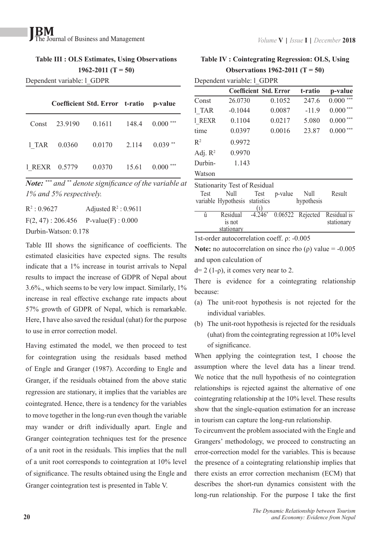# **Table III : OLS Estimates, Using Observations 1962-2011 (T = 50)**

Dependent variable: l\_GDPR

| Coefficient Std. Error t-ratio p-value             |        |       |            |
|----------------------------------------------------|--------|-------|------------|
| Const 23.9190  0.1611  148.4  0.000 <sup>***</sup> |        |       |            |
| 1 TAR 0.0360 0.0170                                |        | 2.114 | $0.039**$  |
| 1 REXR 0.5779                                      | 0.0370 | 15.61 | $0.000***$ |

*Note: \*\*\* and \*\* denote significance of the variable at 1% and 5% respectively.*

| $R^2$ : 0.9627                         | Adjusted $\mathbb{R}^2$ : 0.9611 |  |  |  |  |
|----------------------------------------|----------------------------------|--|--|--|--|
| $F(2, 47)$ : 206.456 P-value(F): 0.000 |                                  |  |  |  |  |
| Durbin-Watson: 0.178                   |                                  |  |  |  |  |

Table III shows the significance of coefficients. The estimated elasicities have expected signs. The results indicate that a 1% increase in tourist arrivals to Nepal results to impact the increase of GDPR of Nepal about 3.6%., which seems to be very low impact. Similarly, 1% increase in real effective exchange rate impacts about 57% growth of GDPR of Nepal, which is remarkable. Here, I have also saved the residual (uhat) for the purpose to use in error correction model.

Having estimated the model, we then proceed to test for cointegration using the residuals based method of Engle and Granger (1987). According to Engle and Granger, if the residuals obtained from the above static regression are stationary, it implies that the variables are cointegrated. Hence, there is a tendency for the variables to move together in the long-run even though the variable may wander or drift individually apart. Engle and Granger cointegration techniques test for the presence of a unit root in the residuals. This implies that the null of a unit root corresponds to cointegration at 10% level of significance. The results obtained using the Engle and Granger cointegration test is presented in Table V.

# **Table IV : Cointegrating Regression: OLS, Using Observations 1962-2011 (T = 50)**

| Dependent variable: 1 GDPR           |                               |        |         |              |  |
|--------------------------------------|-------------------------------|--------|---------|--------------|--|
|                                      | <b>Coefficient Std. Error</b> |        | t-ratio | p-value      |  |
| Const                                | 26.0730                       | 0.1052 | 247.6   | 0.000        |  |
| 1 TAR                                | $-0.1044$                     | 0.0087 | $-11.9$ | 0.000        |  |
| 1 REXR                               | 0.1104                        | 0.0217 | 5.080   | ***<br>0.000 |  |
| time                                 | 0.0397                        | 0.0016 | 23.87   | ***<br>0.000 |  |
| $\mathbb{R}^2$                       | 0.9972                        |        |         |              |  |
| Adj. $R^2$                           | 0.9970                        |        |         |              |  |
| Durbin-                              | 1.143                         |        |         |              |  |
| Watson                               |                               |        |         |              |  |
| <b>Stationarity Test of Residual</b> |                               |        |         |              |  |

| <b>Test</b> | Null<br>variable Hypothesis statistics | Test | p-value | Null<br>hypothesis | Result                                                |
|-------------|----------------------------------------|------|---------|--------------------|-------------------------------------------------------|
|             |                                        |      |         |                    |                                                       |
| û           | Residual<br>is not<br>stationary       |      |         |                    | $-4.246^*$ 0.06522 Rejected Residual is<br>stationary |

1st-order autocorrelation coeff. ρ: -0.005

**Note:** no autocorrelation on since rho ( $\rho$ ) value = -0.005 and upon calculation of

 $d= 2$  (1-ρ), it comes very near to 2.

There is evidence for a cointegrating relationship because:

- (a) The unit-root hypothesis is not rejected for the individual variables.
- (b) The unit-root hypothesis is rejected for the residuals (uhat) from the cointegrating regression at 10% level of significance.

When applying the cointegration test, I choose the assumption where the level data has a linear trend. We notice that the null hypothesis of no cointegration relationships is rejected against the alternative of one cointegrating relationship at the 10% level. These results show that the single-equation estimation for an increase in tourism can capture the long-run relationship.

To circumvent the problem associated with the Engle and Grangers' methodology, we proceed to constructing an error-correction model for the variables. This is because the presence of a cointegrating relationship implies that there exists an error correction mechanism (ECM) that describes the short-run dynamics consistent with the long-run relationship. For the purpose I take the first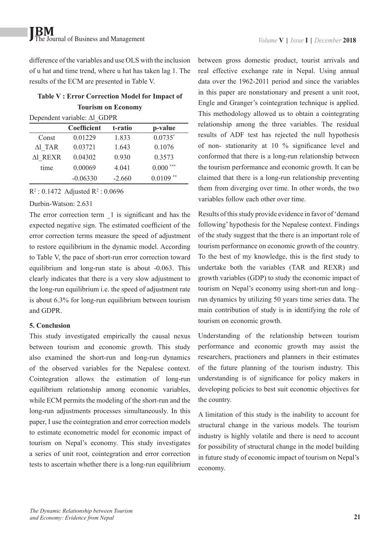difference of the variables and use OLS with the inclusion of u hat and time trend, where u hat has taken lag 1. The results of the ECM are presented in Table V.

# **Table V : Error Correction Model for Impact of Tourism on Economy**

Dependent variable: ∆l\_GDPR

|         | <b>Coefficient</b> | t-ratio  | p-value      |
|---------|--------------------|----------|--------------|
| Const   | 0.01229            | 1.833    | $0.0735^*$   |
| Δl TAR  | 0.03721            | 1.643    | 0.1076       |
| Al REXR | 0.04302            | 0.930    | 0.3573       |
| time    | 0.00069            | 4.041    | ***<br>0.000 |
|         | $-0.06330$         | $-2.660$ | **<br>0.0109 |

 $R^2$ : 0.1472 Adjusted  $R^2$ : 0.0696

### Durbin-Watson: 2.631

The error correction term  $\overline{1}$  is significant and has the expected negative sign. The estimated coefficient of the error correction terms measure the speed of adjustment to restore equilibrium in the dynamic model. According to Table V, the pace of short-run error correction toward equilibrium and long-run state is about -0.063. This clearly indicates that there is a very slow adjustment to the long-run equilibrium i.e. the speed of adjustment rate is about 6.3% for long-run equilibrium between tourism and GDPR.

# **5. Conclusion**

This study investigated empirically the causal nexus between tourism and economic growth. This study also examined the short-run and long-run dynamics of the observed variables for the Nepalese context. Cointegration allows the estimation of long-run equilibrium relationship among economic variables, while ECM permits the modeling of the short-run and the long-run adjustments processes simultaneously. In this paper, I use the cointegration and error correction models to estimate econometric model for economic impact of tourism on Nepal's economy. This study investigates a series of unit root, cointegration and error correction tests to ascertain whether there is a long-run equilibrium

between gross domestic product, tourist arrivals and real effective exchange rate in Nepal. Using annual data over the 1962-2011 period and since the variables in this paper are nonstationary and present a unit root, Engle and Granger's cointegration technique is applied. This methodology allowed us to obtain a cointegrating relationship among the three variables. The residual results of ADF test has rejected the null hypothesis of non- stationarity at 10 % significance level and conformed that there is a long-run relationship between the tourism performance and economic growth. It can be claimed that there is a long-run relationship preventing them from diverging over time. In other words, the two variables follow each other over time.

Results of this study provide evidence in favor of 'demand following' hypothesis for the Nepalese context. Findings of the study suggest that the there is an important role of tourism performance on economic growth of the country. To the best of my knowledge, this is the first study to undertake both the variables (TAR and REXR) and growth variables (GDP) to study the economic impact of tourism on Nepal's economy using short-run and long– run dynamics by utilizing 50 years time series data. The main contribution of study is in identifying the role of tourism on economic growth.

Understanding of the relationship between tourism performance and economic growth may assist the researchers, practioners and planners in their estimates of the future planning of the tourism industry. This understanding is of significance for policy makers in developing policies to best suit economic objectives for the country.

A limitation of this study is the inability to account for structural change in the various models. The tourism industry is highly volatile and there is need to account for possibility of structural change in the model building in future study of economic impact of tourism on Nepal's economy.